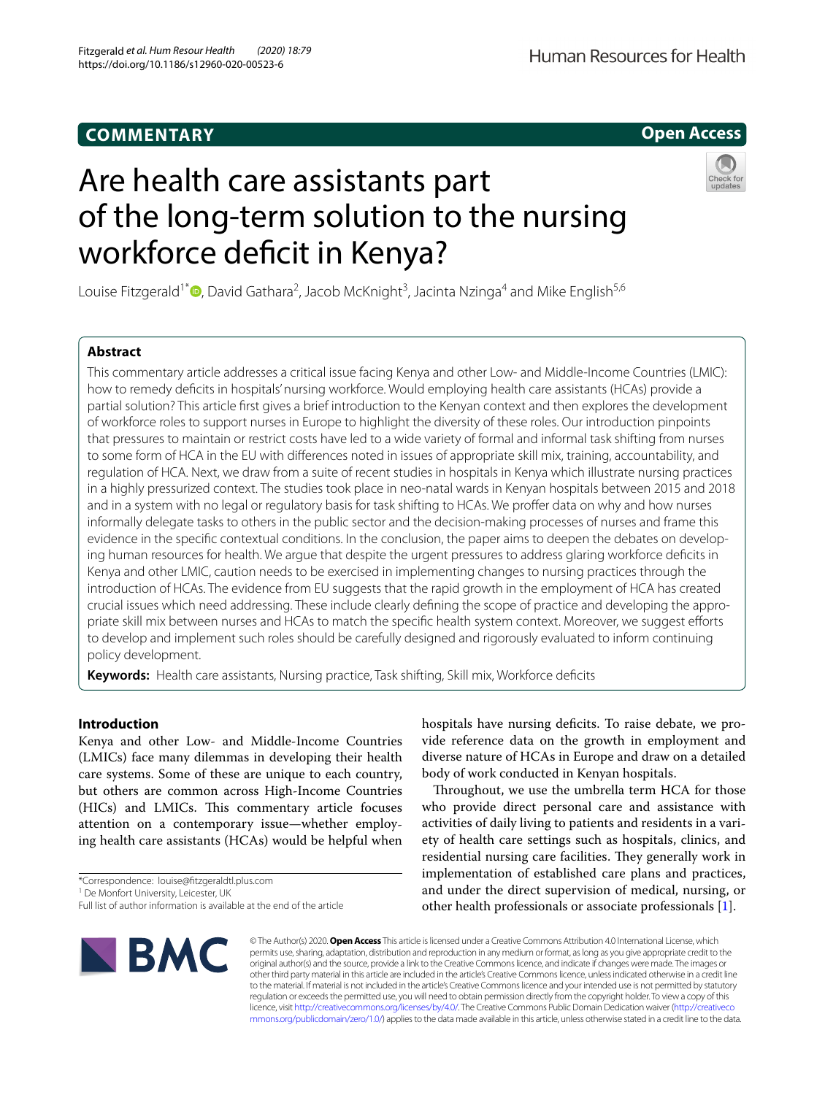## **COMMENTARY**

**Open Access**

# Are health care assistants part of the long-term solution to the nursing workforce deficit in Kenya?



Louise Fitzgerald<sup>1\*</sup>®[,](http://orcid.org/0000-0002-0252-2246) David Gathara<sup>2</sup>, Jacob McKnight<sup>3</sup>, Jacinta Nzinga<sup>4</sup> and Mike English<sup>5,6</sup>

## **Abstract**

This commentary article addresses a critical issue facing Kenya and other Low- and Middle-Income Countries (LMIC): how to remedy defcits in hospitals' nursing workforce. Would employing health care assistants (HCAs) provide a partial solution? This article frst gives a brief introduction to the Kenyan context and then explores the development of workforce roles to support nurses in Europe to highlight the diversity of these roles. Our introduction pinpoints that pressures to maintain or restrict costs have led to a wide variety of formal and informal task shifting from nurses to some form of HCA in the EU with diferences noted in issues of appropriate skill mix, training, accountability, and regulation of HCA. Next, we draw from a suite of recent studies in hospitals in Kenya which illustrate nursing practices in a highly pressurized context. The studies took place in neo-natal wards in Kenyan hospitals between 2015 and 2018 and in a system with no legal or regulatory basis for task shifting to HCAs. We proffer data on why and how nurses informally delegate tasks to others in the public sector and the decision-making processes of nurses and frame this evidence in the specifc contextual conditions. In the conclusion, the paper aims to deepen the debates on developing human resources for health. We argue that despite the urgent pressures to address glaring workforce defcits in Kenya and other LMIC, caution needs to be exercised in implementing changes to nursing practices through the introduction of HCAs. The evidence from EU suggests that the rapid growth in the employment of HCA has created crucial issues which need addressing. These include clearly defning the scope of practice and developing the appropriate skill mix between nurses and HCAs to match the specifc health system context. Moreover, we suggest eforts to develop and implement such roles should be carefully designed and rigorously evaluated to inform continuing policy development.

**Keywords:** Health care assistants, Nursing practice, Task shifting, Skill mix, Workforce defcits

## **Introduction**

Kenya and other Low- and Middle-Income Countries (LMICs) face many dilemmas in developing their health care systems. Some of these are unique to each country, but others are common across High-Income Countries (HICs) and LMICs. This commentary article focuses attention on a contemporary issue—whether employing health care assistants (HCAs) would be helpful when

\*Correspondence: louise@ftzgeraldtl.plus.com

<sup>1</sup> De Monfort University, Leicester, UK

hospitals have nursing deficits. To raise debate, we provide reference data on the growth in employment and diverse nature of HCAs in Europe and draw on a detailed body of work conducted in Kenyan hospitals.

Throughout, we use the umbrella term HCA for those who provide direct personal care and assistance with activities of daily living to patients and residents in a variety of health care settings such as hospitals, clinics, and residential nursing care facilities. They generally work in implementation of established care plans and practices, and under the direct supervision of medical, nursing, or other health professionals or associate professionals [\[1](#page-6-0)].



© The Author(s) 2020. **Open Access** This article is licensed under a Creative Commons Attribution 4.0 International License, which permits use, sharing, adaptation, distribution and reproduction in any medium or format, as long as you give appropriate credit to the original author(s) and the source, provide a link to the Creative Commons licence, and indicate if changes were made. The images or other third party material in this article are included in the article's Creative Commons licence, unless indicated otherwise in a credit line to the material. If material is not included in the article's Creative Commons licence and your intended use is not permitted by statutory regulation or exceeds the permitted use, you will need to obtain permission directly from the copyright holder. To view a copy of this licence, visit [http://creativecommons.org/licenses/by/4.0/.](http://creativecommons.org/licenses/by/4.0/) The Creative Commons Public Domain Dedication waiver ([http://creativeco](http://creativecommons.org/publicdomain/zero/1.0/) [mmons.org/publicdomain/zero/1.0/](http://creativecommons.org/publicdomain/zero/1.0/)) applies to the data made available in this article, unless otherwise stated in a credit line to the data.

Full list of author information is available at the end of the article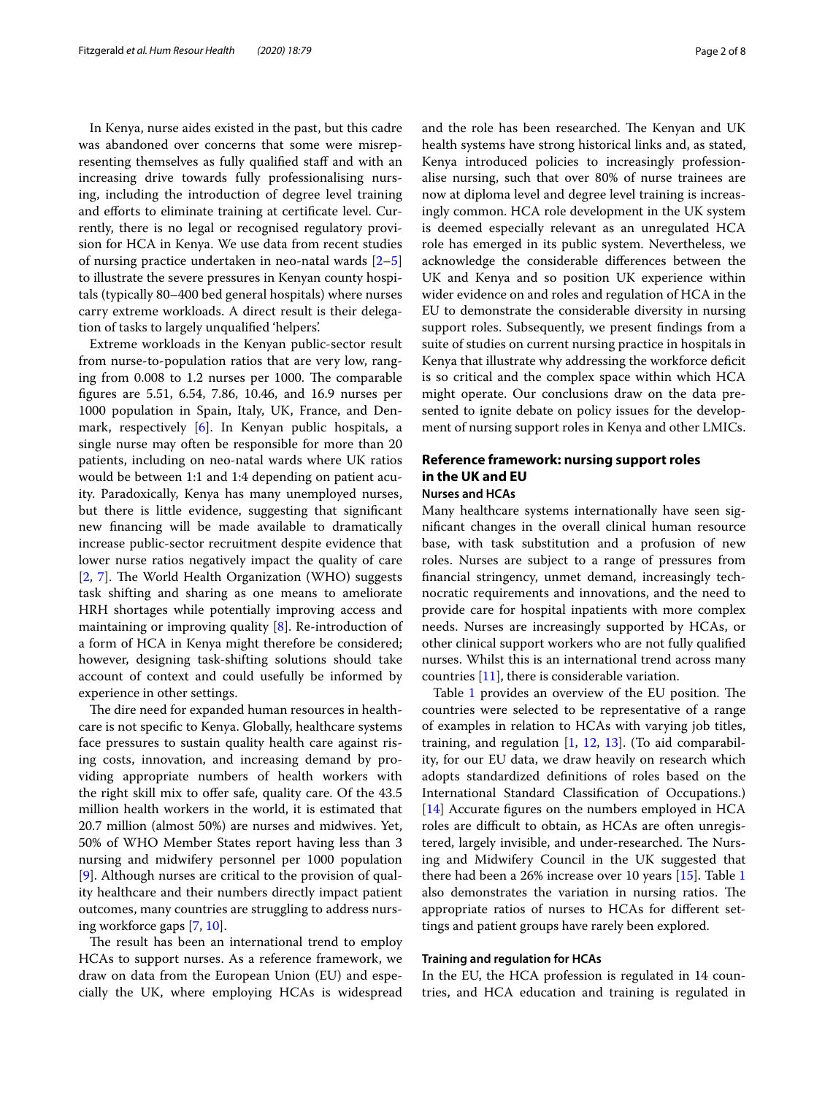In Kenya, nurse aides existed in the past, but this cadre was abandoned over concerns that some were misrepresenting themselves as fully qualified staff and with an increasing drive towards fully professionalising nursing, including the introduction of degree level training and efforts to eliminate training at certificate level. Currently, there is no legal or recognised regulatory provision for HCA in Kenya. We use data from recent studies of nursing practice undertaken in neo-natal wards [[2–](#page-6-1)[5](#page-6-2)] to illustrate the severe pressures in Kenyan county hospitals (typically 80–400 bed general hospitals) where nurses carry extreme workloads. A direct result is their delegation of tasks to largely unqualifed 'helpers'.

Extreme workloads in the Kenyan public-sector result from nurse-to-population ratios that are very low, ranging from 0.008 to 1.2 nurses per 1000. The comparable fgures are 5.51, 6.54, 7.86, 10.46, and 16.9 nurses per 1000 population in Spain, Italy, UK, France, and Denmark, respectively [\[6](#page-6-3)]. In Kenyan public hospitals, a single nurse may often be responsible for more than 20 patients, including on neo-natal wards where UK ratios would be between 1:1 and 1:4 depending on patient acuity. Paradoxically, Kenya has many unemployed nurses, but there is little evidence, suggesting that signifcant new fnancing will be made available to dramatically increase public-sector recruitment despite evidence that lower nurse ratios negatively impact the quality of care [[2,](#page-6-1) [7](#page-6-4)]. The World Health Organization (WHO) suggests task shifting and sharing as one means to ameliorate HRH shortages while potentially improving access and maintaining or improving quality [\[8](#page-6-5)]. Re-introduction of a form of HCA in Kenya might therefore be considered; however, designing task-shifting solutions should take account of context and could usefully be informed by experience in other settings.

The dire need for expanded human resources in healthcare is not specifc to Kenya. Globally, healthcare systems face pressures to sustain quality health care against rising costs, innovation, and increasing demand by providing appropriate numbers of health workers with the right skill mix to offer safe, quality care. Of the 43.5 million health workers in the world, it is estimated that 20.7 million (almost 50%) are nurses and midwives. Yet, 50% of WHO Member States report having less than 3 nursing and midwifery personnel per 1000 population [[9\]](#page-6-6). Although nurses are critical to the provision of quality healthcare and their numbers directly impact patient outcomes, many countries are struggling to address nursing workforce gaps [\[7](#page-6-4), [10](#page-6-7)].

The result has been an international trend to employ HCAs to support nurses. As a reference framework, we draw on data from the European Union (EU) and especially the UK, where employing HCAs is widespread and the role has been researched. The Kenyan and UK health systems have strong historical links and, as stated, Kenya introduced policies to increasingly professionalise nursing, such that over 80% of nurse trainees are now at diploma level and degree level training is increasingly common. HCA role development in the UK system is deemed especially relevant as an unregulated HCA role has emerged in its public system. Nevertheless, we acknowledge the considerable diferences between the UK and Kenya and so position UK experience within wider evidence on and roles and regulation of HCA in the EU to demonstrate the considerable diversity in nursing support roles. Subsequently, we present fndings from a suite of studies on current nursing practice in hospitals in Kenya that illustrate why addressing the workforce defcit is so critical and the complex space within which HCA might operate. Our conclusions draw on the data presented to ignite debate on policy issues for the development of nursing support roles in Kenya and other LMICs.

### **Reference framework: nursing support roles in the UK and EU Nurses and HCAs**

Many healthcare systems internationally have seen signifcant changes in the overall clinical human resource base, with task substitution and a profusion of new roles. Nurses are subject to a range of pressures from fnancial stringency, unmet demand, increasingly technocratic requirements and innovations, and the need to provide care for hospital inpatients with more complex needs. Nurses are increasingly supported by HCAs, or other clinical support workers who are not fully qualifed nurses. Whilst this is an international trend across many countries [\[11](#page-6-8)], there is considerable variation.

Table [1](#page-2-0) provides an overview of the EU position. The countries were selected to be representative of a range of examples in relation to HCAs with varying job titles, training, and regulation  $[1, 12, 13]$  $[1, 12, 13]$  $[1, 12, 13]$  $[1, 12, 13]$  $[1, 12, 13]$ . (To aid comparability, for our EU data, we draw heavily on research which adopts standardized defnitions of roles based on the International Standard Classifcation of Occupations.) [[14\]](#page-6-11) Accurate figures on the numbers employed in HCA roles are difficult to obtain, as HCAs are often unregistered, largely invisible, and under-researched. The Nursing and Midwifery Council in the UK suggested that there had been a 26% increase over 10 years [\[15\]](#page-6-12). Table [1](#page-2-0) also demonstrates the variation in nursing ratios. The appropriate ratios of nurses to HCAs for diferent settings and patient groups have rarely been explored.

#### **Training and regulation for HCAs**

In the EU, the HCA profession is regulated in 14 countries, and HCA education and training is regulated in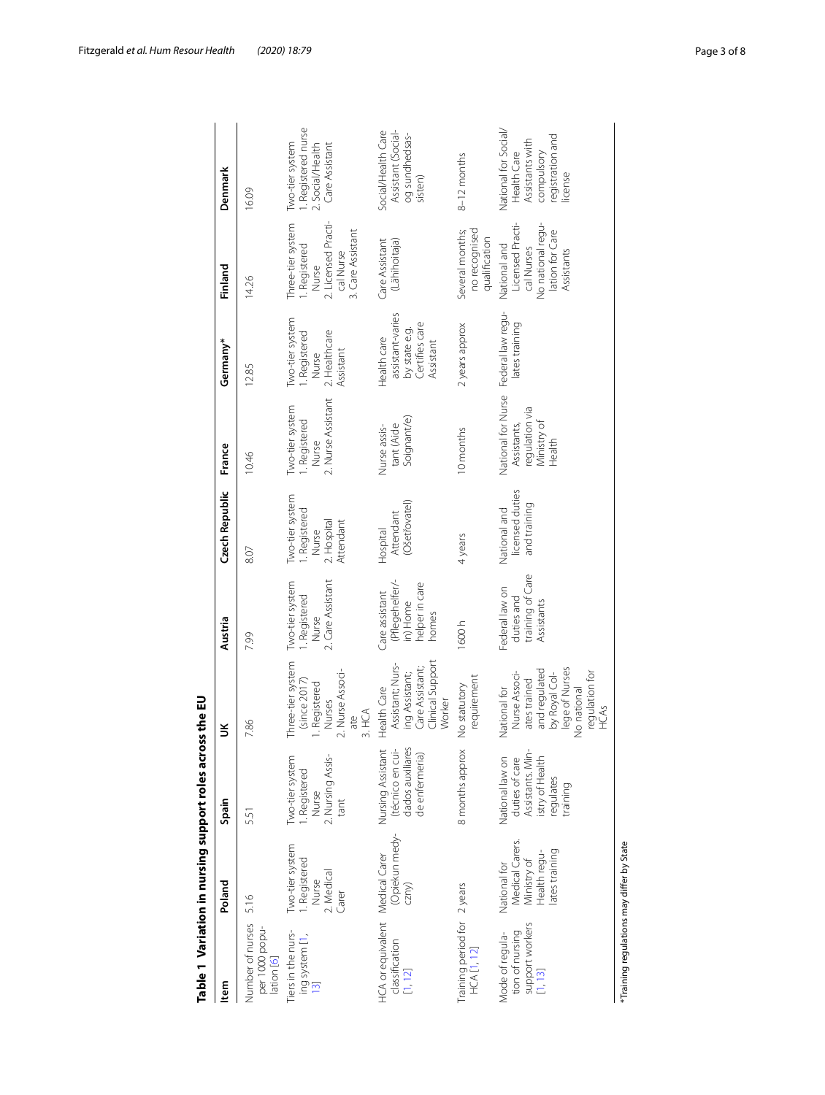|                                                                  | Table 1 Variation in nursing support roles across the EU                        |                                                                                                   |                                                                                                                                            |                                                                          |                                                                       |                                                                              |                                                                                 |                                                                                                      |                                                                                                    |
|------------------------------------------------------------------|---------------------------------------------------------------------------------|---------------------------------------------------------------------------------------------------|--------------------------------------------------------------------------------------------------------------------------------------------|--------------------------------------------------------------------------|-----------------------------------------------------------------------|------------------------------------------------------------------------------|---------------------------------------------------------------------------------|------------------------------------------------------------------------------------------------------|----------------------------------------------------------------------------------------------------|
| ltem                                                             | Poland                                                                          | Spain                                                                                             | š                                                                                                                                          | Austria                                                                  | Czech Republic                                                        | France                                                                       | Germany*                                                                        | Finland                                                                                              | Denmark                                                                                            |
| Number of nurses<br>per 1000 popu-<br>lation [6]                 | 5.16                                                                            | 5.51                                                                                              | 7.86                                                                                                                                       | 7.99                                                                     | 8.07                                                                  | 10.46                                                                        | 12.85                                                                           | 14.26                                                                                                | 16.09                                                                                              |
| Tiers in the nurs-<br>ing system [1,<br>13]                      | Two-tier system<br>I. Registered<br>2. Medical<br>Nurse<br>Carer                | 2. Nursing Assis-<br>Two-tier system<br>I. Registered<br>Nurse<br>tant                            | Three-tier system<br>2. Nurse Associ-<br>(since 2017)<br>I. Registered<br><b>Nurses</b><br>3. HCA<br>ate                                   | 2. Care Assistant<br>Two-tier system<br>I. Registered<br>Nurse           | Two-tier system<br>I. Registered<br>Attendant<br>2. Hospital<br>Nurse | 2. Nurse Assistant<br>Two-tier system<br>I. Registered<br>Nurse              | Two-tier system<br>2. Healthcare<br>I. Registered<br>Assistant<br>Nurse         | 2. Licensed Practi-<br>Three-tier system<br>3. Care Assistant<br>I. Registered<br>cal Nurse<br>Nurse | 1. Registered nurse<br>Two-tier system<br>2. Social/Health<br>Care Assistant                       |
| HCA or equivalent Medical Carer<br>classification<br>[1, 12]     | (Opiekun medy-<br>czny)                                                         | Nursing Assistant<br>(técnico en cui-<br>dados auxiliares<br>de enfermeria)                       | Clinical Support<br>Assistant; Nurs-<br>Care Assistant;<br>ing Assistant;<br>Health Care<br>Worker                                         | (Pflegehelfer/-<br>helper in care<br>Care assistant<br>in) Home<br>homes | (Ošetřovatel)<br>Attendant<br>Hospital                                | Soignant/e)<br>tant (Aide<br>Nurse assis-                                    | assistant-varies<br>Certifies care<br>by state e.g.<br>Health care<br>Assistant | (Lähihoitaja)<br>Care Assistant                                                                      | Assistant (Social-<br>Social/Health Care<br>og sundhedsas-<br>sisten)                              |
| Training period for 2 years<br>HCA [1, 12]                       |                                                                                 | 8 months approx                                                                                   | requirement<br>No statutory                                                                                                                | 1600h                                                                    | 4 years                                                               | 10 months                                                                    | 2 years approx                                                                  | Several months;<br>no recognised<br>qualification                                                    | 8-12 months                                                                                        |
| support workers<br>[1, 13]<br>tion of nursing<br>Mode of regula- | Medical Carers.<br>ates training<br>Ministry of<br>Health regu-<br>National for | duties of care<br>Assistants. Min-<br>National law on<br>istry of Health<br>regulates<br>training | lege of Nurses<br>and regulated<br>Nurse Associ-<br>regulation for<br>by Royal Col-<br>ates trained<br>National for<br>No national<br>HCAS | training of Care<br>Federal law on<br>duties and<br>Assistants           | licensed duties<br>and training<br>National and                       | National for Nurse<br>regulation via<br>Ministry of<br>Assistants,<br>Health | Federal law regu-<br>lates training                                             | Licensed Practi-<br>No national regu-<br>lation for Care<br>National and<br>cal Nurses<br>Assistants | National for Social/<br>registration and<br>Assistants with<br>Health Care<br>compulsory<br>icense |
| *Training regulations may differ by State                        |                                                                                 |                                                                                                   |                                                                                                                                            |                                                                          |                                                                       |                                                                              |                                                                                 |                                                                                                      |                                                                                                    |

<span id="page-2-0"></span>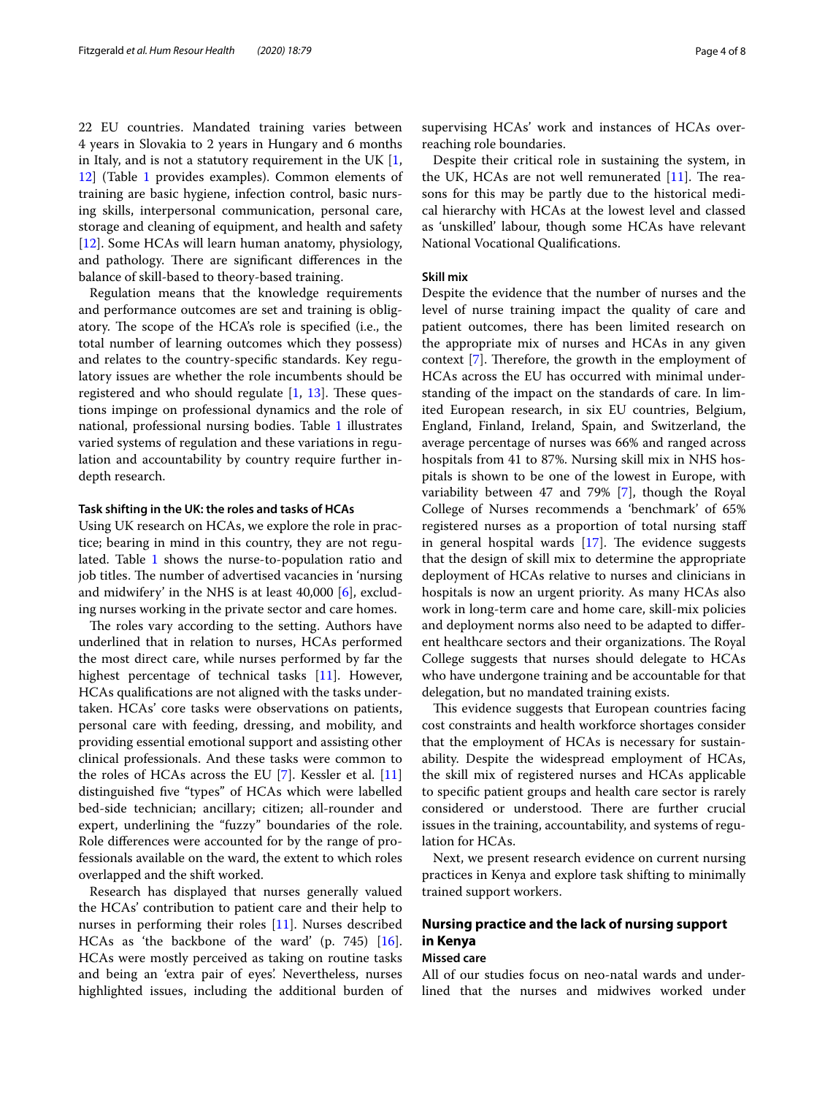22 EU countries. Mandated training varies between 4 years in Slovakia to 2 years in Hungary and 6 months in Italy, and is not a statutory requirement in the UK [\[1](#page-6-0), [12\]](#page-6-9) (Table [1](#page-2-0) provides examples). Common elements of training are basic hygiene, infection control, basic nursing skills, interpersonal communication, personal care, storage and cleaning of equipment, and health and safety [[12\]](#page-6-9). Some HCAs will learn human anatomy, physiology, and pathology. There are significant differences in the balance of skill-based to theory-based training.

Regulation means that the knowledge requirements and performance outcomes are set and training is obligatory. The scope of the HCA's role is specified (i.e., the total number of learning outcomes which they possess) and relates to the country-specifc standards. Key regulatory issues are whether the role incumbents should be registered and who should regulate  $[1, 13]$  $[1, 13]$  $[1, 13]$ . These questions impinge on professional dynamics and the role of national, professional nursing bodies. Table [1](#page-2-0) illustrates varied systems of regulation and these variations in regulation and accountability by country require further indepth research.

#### **Task shifting in the UK: the roles and tasks of HCAs**

Using UK research on HCAs, we explore the role in practice; bearing in mind in this country, they are not regu-lated. Table [1](#page-2-0) shows the nurse-to-population ratio and job titles. The number of advertised vacancies in 'nursing and midwifery' in the NHS is at least 40,000 [\[6\]](#page-6-3), excluding nurses working in the private sector and care homes.

The roles vary according to the setting. Authors have underlined that in relation to nurses, HCAs performed the most direct care, while nurses performed by far the highest percentage of technical tasks [[11\]](#page-6-8). However, HCAs qualifcations are not aligned with the tasks undertaken. HCAs' core tasks were observations on patients, personal care with feeding, dressing, and mobility, and providing essential emotional support and assisting other clinical professionals. And these tasks were common to the roles of HCAs across the EU [[7\]](#page-6-4). Kessler et al. [[11](#page-6-8)] distinguished fve "types" of HCAs which were labelled bed-side technician; ancillary; citizen; all-rounder and expert, underlining the "fuzzy" boundaries of the role. Role diferences were accounted for by the range of professionals available on the ward, the extent to which roles overlapped and the shift worked.

Research has displayed that nurses generally valued the HCAs' contribution to patient care and their help to nurses in performing their roles [\[11](#page-6-8)]. Nurses described HCAs as 'the backbone of the ward' (p. 745) [\[16](#page-6-13)]. HCAs were mostly perceived as taking on routine tasks and being an 'extra pair of eyes'. Nevertheless, nurses highlighted issues, including the additional burden of supervising HCAs' work and instances of HCAs overreaching role boundaries.

Despite their critical role in sustaining the system, in the UK, HCAs are not well remunerated  $[11]$  $[11]$ . The reasons for this may be partly due to the historical medical hierarchy with HCAs at the lowest level and classed as 'unskilled' labour, though some HCAs have relevant National Vocational Qualifcations.

#### **Skill mix**

Despite the evidence that the number of nurses and the level of nurse training impact the quality of care and patient outcomes, there has been limited research on the appropriate mix of nurses and HCAs in any given context  $[7]$  $[7]$ . Therefore, the growth in the employment of HCAs across the EU has occurred with minimal understanding of the impact on the standards of care. In limited European research, in six EU countries, Belgium, England, Finland, Ireland, Spain, and Switzerland, the average percentage of nurses was 66% and ranged across hospitals from 41 to 87%. Nursing skill mix in NHS hospitals is shown to be one of the lowest in Europe, with variability between 47 and 79% [[7\]](#page-6-4), though the Royal College of Nurses recommends a 'benchmark' of 65% registered nurses as a proportion of total nursing staf in general hospital wards  $[17]$  $[17]$ . The evidence suggests that the design of skill mix to determine the appropriate deployment of HCAs relative to nurses and clinicians in hospitals is now an urgent priority. As many HCAs also work in long-term care and home care, skill-mix policies and deployment norms also need to be adapted to diferent healthcare sectors and their organizations. The Royal College suggests that nurses should delegate to HCAs who have undergone training and be accountable for that delegation, but no mandated training exists.

This evidence suggests that European countries facing cost constraints and health workforce shortages consider that the employment of HCAs is necessary for sustainability. Despite the widespread employment of HCAs, the skill mix of registered nurses and HCAs applicable to specifc patient groups and health care sector is rarely considered or understood. There are further crucial issues in the training, accountability, and systems of regulation for HCAs.

Next, we present research evidence on current nursing practices in Kenya and explore task shifting to minimally trained support workers.

## **Nursing practice and the lack of nursing support in Kenya**

#### **Missed care**

All of our studies focus on neo-natal wards and underlined that the nurses and midwives worked under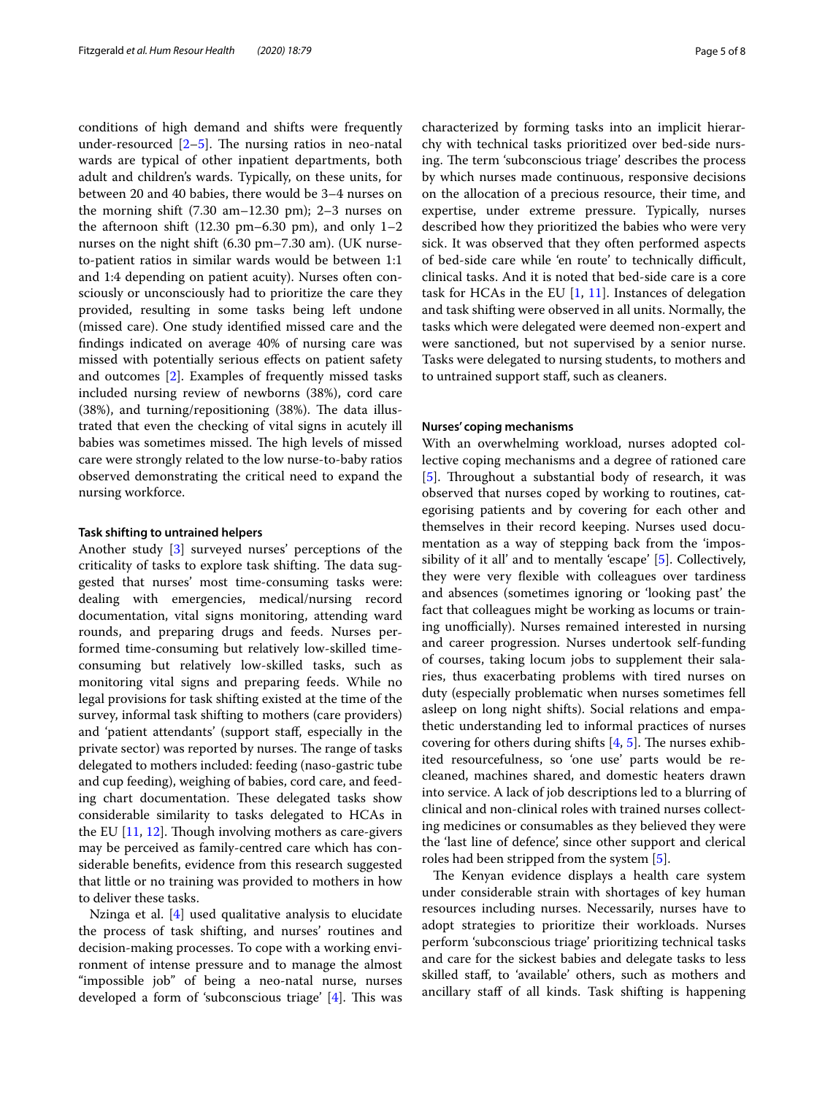conditions of high demand and shifts were frequently under-resourced  $[2-5]$  $[2-5]$  $[2-5]$ . The nursing ratios in neo-natal wards are typical of other inpatient departments, both adult and children's wards. Typically, on these units, for between 20 and 40 babies, there would be 3–4 nurses on the morning shift  $(7.30 \text{ am}-12.30 \text{ pm})$ ; 2–3 nurses on the afternoon shift (12.30  $pm-6.30$   $pm$ ), and only 1–2 nurses on the night shift (6.30 pm–7.30 am). (UK nurseto-patient ratios in similar wards would be between 1:1 and 1:4 depending on patient acuity). Nurses often consciously or unconsciously had to prioritize the care they provided, resulting in some tasks being left undone (missed care). One study identifed missed care and the fndings indicated on average 40% of nursing care was missed with potentially serious efects on patient safety and outcomes [[2\]](#page-6-1). Examples of frequently missed tasks included nursing review of newborns (38%), cord care  $(38%)$ , and turning/repositioning  $(38%)$ . The data illustrated that even the checking of vital signs in acutely ill babies was sometimes missed. The high levels of missed care were strongly related to the low nurse-to-baby ratios observed demonstrating the critical need to expand the nursing workforce.

#### **Task shifting to untrained helpers**

Another study [\[3](#page-6-15)] surveyed nurses' perceptions of the criticality of tasks to explore task shifting. The data suggested that nurses' most time-consuming tasks were: dealing with emergencies, medical/nursing record documentation, vital signs monitoring, attending ward rounds, and preparing drugs and feeds. Nurses performed time-consuming but relatively low-skilled timeconsuming but relatively low-skilled tasks, such as monitoring vital signs and preparing feeds. While no legal provisions for task shifting existed at the time of the survey, informal task shifting to mothers (care providers) and 'patient attendants' (support staf, especially in the private sector) was reported by nurses. The range of tasks delegated to mothers included: feeding (naso-gastric tube and cup feeding), weighing of babies, cord care, and feeding chart documentation. These delegated tasks show considerable similarity to tasks delegated to HCAs in the EU  $[11, 12]$  $[11, 12]$  $[11, 12]$  $[11, 12]$ . Though involving mothers as care-givers may be perceived as family-centred care which has considerable benefts, evidence from this research suggested that little or no training was provided to mothers in how to deliver these tasks.

Nzinga et al. [\[4](#page-6-16)] used qualitative analysis to elucidate the process of task shifting, and nurses' routines and decision-making processes. To cope with a working environment of intense pressure and to manage the almost "impossible job" of being a neo-natal nurse, nurses developed a form of 'subconscious triage'  $[4]$  $[4]$  $[4]$ . This was characterized by forming tasks into an implicit hierarchy with technical tasks prioritized over bed-side nursing. The term 'subconscious triage' describes the process by which nurses made continuous, responsive decisions on the allocation of a precious resource, their time, and expertise, under extreme pressure. Typically, nurses described how they prioritized the babies who were very sick. It was observed that they often performed aspects of bed-side care while 'en route' to technically difficult, clinical tasks. And it is noted that bed-side care is a core task for HCAs in the EU  $[1, 11]$  $[1, 11]$  $[1, 11]$  $[1, 11]$ . Instances of delegation and task shifting were observed in all units. Normally, the tasks which were delegated were deemed non-expert and were sanctioned, but not supervised by a senior nurse. Tasks were delegated to nursing students, to mothers and to untrained support staf, such as cleaners.

#### **Nurses' coping mechanisms**

With an overwhelming workload, nurses adopted collective coping mechanisms and a degree of rationed care [[5\]](#page-6-2). Throughout a substantial body of research, it was observed that nurses coped by working to routines, categorising patients and by covering for each other and themselves in their record keeping. Nurses used documentation as a way of stepping back from the 'impossibility of it all' and to mentally 'escape' [\[5](#page-6-2)]. Collectively, they were very fexible with colleagues over tardiness and absences (sometimes ignoring or 'looking past' the fact that colleagues might be working as locums or training unofficially). Nurses remained interested in nursing and career progression. Nurses undertook self-funding of courses, taking locum jobs to supplement their salaries, thus exacerbating problems with tired nurses on duty (especially problematic when nurses sometimes fell asleep on long night shifts). Social relations and empathetic understanding led to informal practices of nurses covering for others during shifts  $[4, 5]$  $[4, 5]$  $[4, 5]$  $[4, 5]$ . The nurses exhibited resourcefulness, so 'one use' parts would be recleaned, machines shared, and domestic heaters drawn into service. A lack of job descriptions led to a blurring of clinical and non-clinical roles with trained nurses collecting medicines or consumables as they believed they were the 'last line of defence', since other support and clerical roles had been stripped from the system [[5\]](#page-6-2).

The Kenyan evidence displays a health care system under considerable strain with shortages of key human resources including nurses. Necessarily, nurses have to adopt strategies to prioritize their workloads. Nurses perform 'subconscious triage' prioritizing technical tasks and care for the sickest babies and delegate tasks to less skilled staf, to 'available' others, such as mothers and ancillary staff of all kinds. Task shifting is happening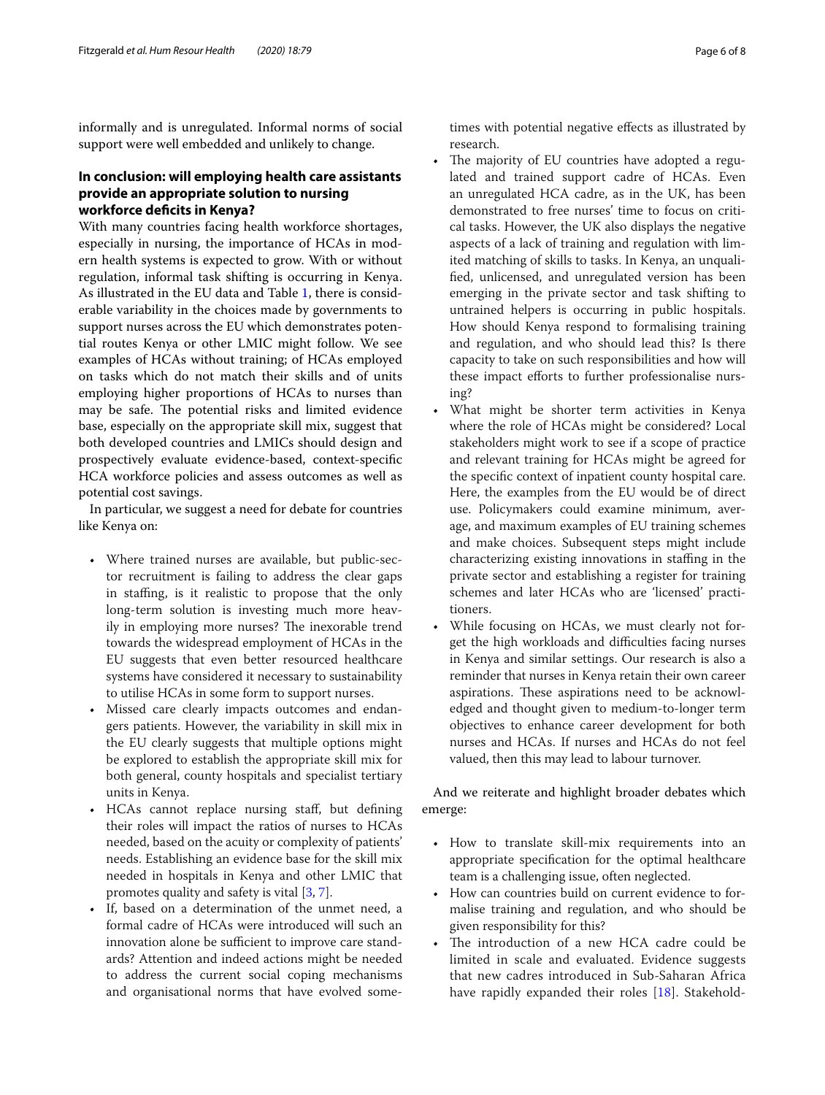informally and is unregulated. Informal norms of social support were well embedded and unlikely to change.

## **In conclusion: will employing health care assistants provide an appropriate solution to nursing workforce defcits in Kenya?**

With many countries facing health workforce shortages, especially in nursing, the importance of HCAs in modern health systems is expected to grow. With or without regulation, informal task shifting is occurring in Kenya. As illustrated in the EU data and Table [1,](#page-2-0) there is considerable variability in the choices made by governments to support nurses across the EU which demonstrates potential routes Kenya or other LMIC might follow. We see examples of HCAs without training; of HCAs employed on tasks which do not match their skills and of units employing higher proportions of HCAs to nurses than may be safe. The potential risks and limited evidence base, especially on the appropriate skill mix, suggest that both developed countries and LMICs should design and prospectively evaluate evidence-based, context-specifc HCA workforce policies and assess outcomes as well as potential cost savings.

In particular, we suggest a need for debate for countries like Kenya on:

- Where trained nurses are available, but public-sector recruitment is failing to address the clear gaps in stafng, is it realistic to propose that the only long-term solution is investing much more heavily in employing more nurses? The inexorable trend towards the widespread employment of HCAs in the EU suggests that even better resourced healthcare systems have considered it necessary to sustainability to utilise HCAs in some form to support nurses.
- Missed care clearly impacts outcomes and endangers patients. However, the variability in skill mix in the EU clearly suggests that multiple options might be explored to establish the appropriate skill mix for both general, county hospitals and specialist tertiary units in Kenya.
- HCAs cannot replace nursing staff, but defining their roles will impact the ratios of nurses to HCAs needed, based on the acuity or complexity of patients' needs. Establishing an evidence base for the skill mix needed in hospitals in Kenya and other LMIC that promotes quality and safety is vital [[3,](#page-6-15) [7\]](#page-6-4).
- If, based on a determination of the unmet need, a formal cadre of HCAs were introduced will such an innovation alone be sufficient to improve care standards? Attention and indeed actions might be needed to address the current social coping mechanisms and organisational norms that have evolved some-

times with potential negative efects as illustrated by research.

- The majority of EU countries have adopted a regulated and trained support cadre of HCAs. Even an unregulated HCA cadre, as in the UK, has been demonstrated to free nurses' time to focus on critical tasks. However, the UK also displays the negative aspects of a lack of training and regulation with limited matching of skills to tasks. In Kenya, an unqualifed, unlicensed, and unregulated version has been emerging in the private sector and task shifting to untrained helpers is occurring in public hospitals. How should Kenya respond to formalising training and regulation, and who should lead this? Is there capacity to take on such responsibilities and how will these impact efforts to further professionalise nursing?
- What might be shorter term activities in Kenya where the role of HCAs might be considered? Local stakeholders might work to see if a scope of practice and relevant training for HCAs might be agreed for the specifc context of inpatient county hospital care. Here, the examples from the EU would be of direct use. Policymakers could examine minimum, average, and maximum examples of EU training schemes and make choices. Subsequent steps might include characterizing existing innovations in stafng in the private sector and establishing a register for training schemes and later HCAs who are 'licensed' practitioners.
- While focusing on HCAs, we must clearly not forget the high workloads and difficulties facing nurses in Kenya and similar settings. Our research is also a reminder that nurses in Kenya retain their own career aspirations. These aspirations need to be acknowledged and thought given to medium-to-longer term objectives to enhance career development for both nurses and HCAs. If nurses and HCAs do not feel valued, then this may lead to labour turnover.

And we reiterate and highlight broader debates which emerge:

- How to translate skill-mix requirements into an appropriate specifcation for the optimal healthcare team is a challenging issue, often neglected.
- How can countries build on current evidence to formalise training and regulation, and who should be given responsibility for this?
- The introduction of a new HCA cadre could be limited in scale and evaluated. Evidence suggests that new cadres introduced in Sub-Saharan Africa have rapidly expanded their roles [[18\]](#page-7-0). Stakehold-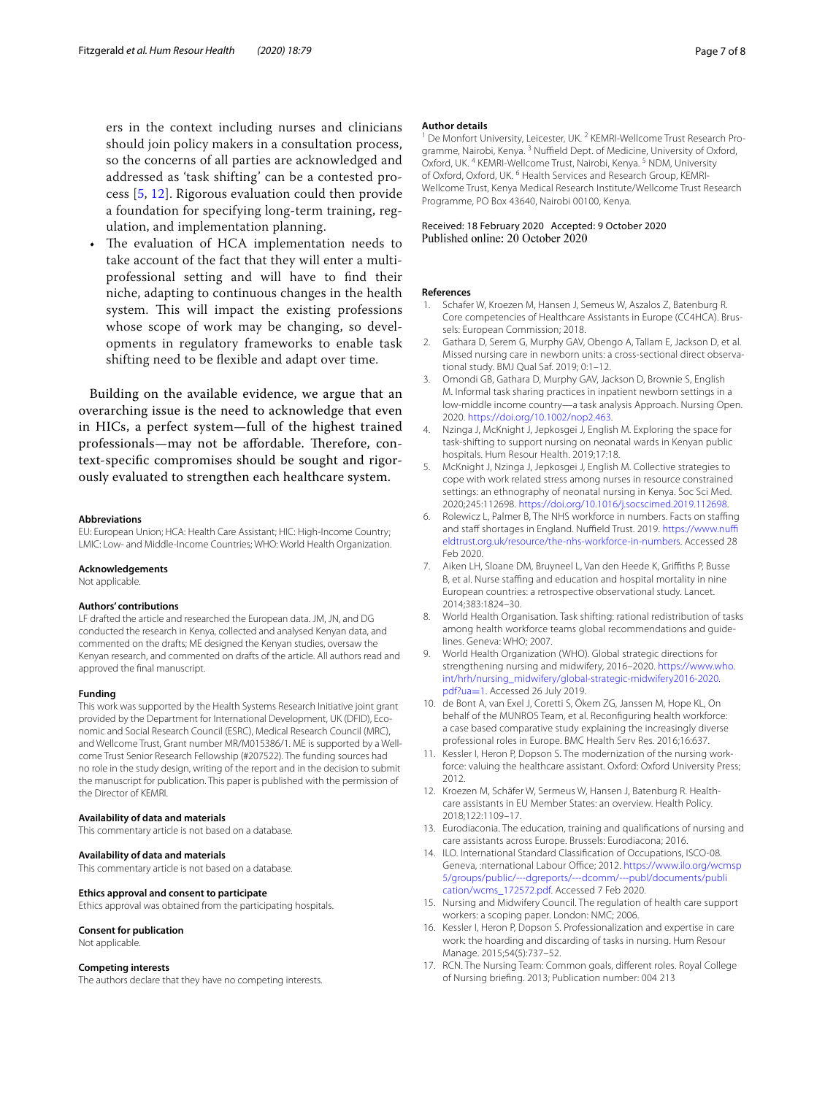ers in the context including nurses and clinicians should join policy makers in a consultation process, so the concerns of all parties are acknowledged and addressed as 'task shifting' can be a contested process [\[5](#page-6-2), [12](#page-6-9)]. Rigorous evaluation could then provide a foundation for specifying long-term training, regulation, and implementation planning.

The evaluation of HCA implementation needs to take account of the fact that they will enter a multiprofessional setting and will have to fnd their niche, adapting to continuous changes in the health system. This will impact the existing professions whose scope of work may be changing, so developments in regulatory frameworks to enable task shifting need to be fexible and adapt over time.

Building on the available evidence, we argue that an overarching issue is the need to acknowledge that even in HICs, a perfect system—full of the highest trained professionals—may not be affordable. Therefore, context-specifc compromises should be sought and rigorously evaluated to strengthen each healthcare system.

#### **Abbreviations**

EU: European Union; HCA: Health Care Assistant; HIC: High-Income Country; LMIC: Low- and Middle-Income Countries; WHO: World Health Organization.

#### **Acknowledgements**

Not applicable.

#### **Authors' contributions**

LF drafted the article and researched the European data. JM, JN, and DG conducted the research in Kenya, collected and analysed Kenyan data, and commented on the drafts; ME designed the Kenyan studies, oversaw the Kenyan research, and commented on drafts of the article. All authors read and approved the fnal manuscript.

#### **Funding**

This work was supported by the Health Systems Research Initiative joint grant provided by the Department for International Development, UK (DFID), Economic and Social Research Council (ESRC), Medical Research Council (MRC), and Wellcome Trust, Grant number MR/M015386/1. ME is supported by a Wellcome Trust Senior Research Fellowship (#207522). The funding sources had no role in the study design, writing of the report and in the decision to submit the manuscript for publication. This paper is published with the permission of the Director of KEMRI.

#### **Availability of data and materials**

This commentary article is not based on a database.

#### **Availability of data and materials**

This commentary article is not based on a database.

#### **Ethics approval and consent to participate**

Ethics approval was obtained from the participating hospitals.

#### **Consent for publication**

Not applicable.

#### **Competing interests**

The authors declare that they have no competing interests.

#### **Author details**

<sup>1</sup> De Monfort University, Leicester, UK.<sup>2</sup> KEMRI-Wellcome Trust Research Programme, Nairobi, Kenya.<sup>3</sup> Nuffield Dept. of Medicine, University of Oxford, Oxford, UK. <sup>4</sup> KEMRI-Wellcome Trust, Nairobi, Kenya. <sup>5</sup> NDM, University of Oxford, Oxford, UK. <sup>6</sup> Health Services and Research Group, KEMRI-Wellcome Trust, Kenya Medical Research Institute/Wellcome Trust Research Programme, PO Box 43640, Nairobi 00100, Kenya.

## Received: 18 February 2020 Accepted: 9 October 2020

#### **References**

- <span id="page-6-0"></span>1. Schafer W, Kroezen M, Hansen J, Semeus W, Aszalos Z, Batenburg R. Core competencies of Healthcare Assistants in Europe (CC4HCA). Brussels: European Commission; 2018.
- <span id="page-6-1"></span>2. Gathara D, Serem G, Murphy GAV, Obengo A, Tallam E, Jackson D, et al. Missed nursing care in newborn units: a cross-sectional direct observational study. BMJ Qual Saf. 2019; 0:1–12.
- <span id="page-6-15"></span>3. Omondi GB, Gathara D, Murphy GAV, Jackson D, Brownie S, English M. Informal task sharing practices in inpatient newborn settings in a low-middle income country—a task analysis Approach. Nursing Open. 2020. <https://doi.org/10.1002/nop2.463>.
- <span id="page-6-16"></span>4. Nzinga J, McKnight J, Jepkosgei J, English M. Exploring the space for task-shifting to support nursing on neonatal wards in Kenyan public hospitals. Hum Resour Health. 2019;17:18.
- <span id="page-6-2"></span>5. McKnight J, Nzinga J, Jepkosgei J, English M. Collective strategies to cope with work related stress among nurses in resource constrained settings: an ethnography of neonatal nursing in Kenya. Soc Sci Med. 2020;245:112698. <https://doi.org/10.1016/j.socscimed.2019.112698>.
- <span id="page-6-3"></span>6. Rolewicz L, Palmer B, The NHS workforce in numbers. Facts on stafng and staff shortages in England. Nuffield Trust. 2019. [https://www.nuf](https://www.nuffieldtrust.org.uk/resource/the-nhs-workforce-in-numbers)fi [eldtrust.org.uk/resource/the-nhs-workforce-in-numbers](https://www.nuffieldtrust.org.uk/resource/the-nhs-workforce-in-numbers). Accessed 28 Feb 2020.
- <span id="page-6-4"></span>7. Aiken LH, Sloane DM, Bruyneel L, Van den Heede K, Griffiths P, Busse B, et al. Nurse staffing and education and hospital mortality in nine European countries: a retrospective observational study. Lancet. 2014;383:1824–30.
- <span id="page-6-5"></span>8. World Health Organisation. Task shifting: rational redistribution of tasks among health workforce teams global recommendations and guidelines. Geneva: WHO; 2007.
- <span id="page-6-6"></span>9. World Health Organization (WHO). Global strategic directions for strengthening nursing and midwifery, 2016–2020. [https://www.who.](https://www.who.int/hrh/nursing_midwifery/global-strategic-midwifery2016-2020.pdf?ua=1) [int/hrh/nursing\\_midwifery/global-strategic-midwifery2016-2020.](https://www.who.int/hrh/nursing_midwifery/global-strategic-midwifery2016-2020.pdf?ua=1) [pdf?ua](https://www.who.int/hrh/nursing_midwifery/global-strategic-midwifery2016-2020.pdf?ua=1)=1. Accessed 26 July 2019.
- <span id="page-6-7"></span>10. de Bont A, van Exel J, Coretti S, Ökem ZG, Janssen M, Hope KL, On behalf of the MUNROS Team, et al. Reconfguring health workforce: a case based comparative study explaining the increasingly diverse professional roles in Europe. BMC Health Serv Res. 2016;16:637.
- <span id="page-6-8"></span>11. Kessler I, Heron P, Dopson S. The modernization of the nursing workforce: valuing the healthcare assistant. Oxford: Oxford University Press; 2012.
- <span id="page-6-9"></span>12. Kroezen M, Schäfer W, Sermeus W, Hansen J, Batenburg R. Healthcare assistants in EU Member States: an overview. Health Policy. 2018;122:1109–17.
- <span id="page-6-10"></span>13. Eurodiaconia. The education, training and qualifcations of nursing and care assistants across Europe. Brussels: Eurodiacona; 2016.
- <span id="page-6-11"></span>14. ILO. International Standard Classifcation of Occupations, ISCO-08. Geneva, :nternational Labour Office; 2012. [https://www.ilo.org/wcmsp](https://www.ilo.org/wcmsp5/groups/public/---dgreports/---dcomm/---publ/documents/publication/wcms_172572.pdf) [5/groups/public/---dgreports/---dcomm/---publ/documents/publi](https://www.ilo.org/wcmsp5/groups/public/---dgreports/---dcomm/---publ/documents/publication/wcms_172572.pdf) [cation/wcms\\_172572.pdf.](https://www.ilo.org/wcmsp5/groups/public/---dgreports/---dcomm/---publ/documents/publication/wcms_172572.pdf) Accessed 7 Feb 2020.
- <span id="page-6-12"></span>15. Nursing and Midwifery Council. The regulation of health care support workers: a scoping paper. London: NMC; 2006.
- <span id="page-6-13"></span>16. Kessler I, Heron P, Dopson S. Professionalization and expertise in care work: the hoarding and discarding of tasks in nursing. Hum Resour Manage. 2015;54(5):737–52.
- <span id="page-6-14"></span>17. RCN. The Nursing Team: Common goals, diferent roles. Royal College of Nursing briefng. 2013; Publication number: 004 213